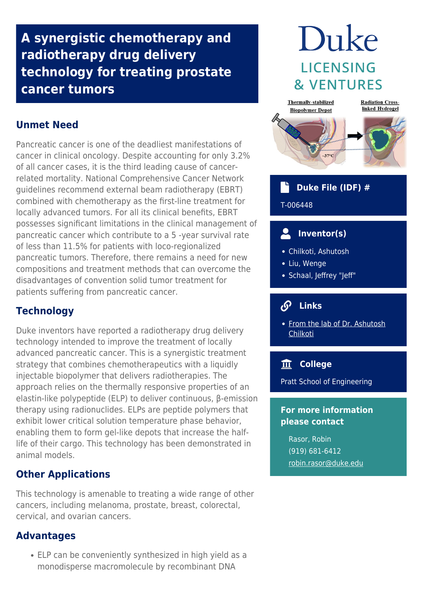## **A synergistic chemotherapy and radiotherapy drug delivery technology for treating prostate cancer tumors**

## **Unmet Need**

Pancreatic cancer is one of the deadliest manifestations of cancer in clinical oncology. Despite accounting for only 3.2% of all cancer cases, it is the third leading cause of cancerrelated mortality. National Comprehensive Cancer Network guidelines recommend external beam radiotherapy (EBRT) combined with chemotherapy as the first-line treatment for locally advanced tumors. For all its clinical benefits, EBRT possesses significant limitations in the clinical management of pancreatic cancer which contribute to a 5 -year survival rate of less than 11.5% for patients with loco-regionalized pancreatic tumors. Therefore, there remains a need for new compositions and treatment methods that can overcome the disadvantages of convention solid tumor treatment for patients suffering from pancreatic cancer.

## **Technology**

Duke inventors have reported a radiotherapy drug delivery technology intended to improve the treatment of locally advanced pancreatic cancer. This is a synergistic treatment strategy that combines chemotherapeutics with a liquidly injectable biopolymer that delivers radiotherapies. The approach relies on the thermally responsive properties of an elastin-like polypeptide (ELP) to deliver continuous, β-emission therapy using radionuclides. ELPs are peptide polymers that exhibit lower critical solution temperature phase behavior, enabling them to form gel-like depots that increase the halflife of their cargo. This technology has been demonstrated in animal models.

## **Other Applications**

This technology is amenable to treating a wide range of other cancers, including melanoma, prostate, breast, colorectal, cervical, and ovarian cancers.

### **Advantages**

ELP can be conveniently synthesized in high yield as a monodisperse macromolecule by recombinant DNA

# Duke **LICENSING & VENTURES**



#### **Duke File (IDF) #**

#### T-006448

## **Inventor(s)**

- Chilkoti, Ashutosh
- Liu, Wenge
- Schaal, Jeffrey "Jeff"

#### $\mathcal{S}$  **Links**

• [From the lab of Dr. Ashutosh](http://chilkotilab.pratt.duke.edu/) [Chilkoti](http://chilkotilab.pratt.duke.edu/)

## **College**

Pratt School of Engineering

#### **For more information please contact**

Rasor, Robin (919) 681-6412 [robin.rasor@duke.edu](mailto:robin.rasor@duke.edu)